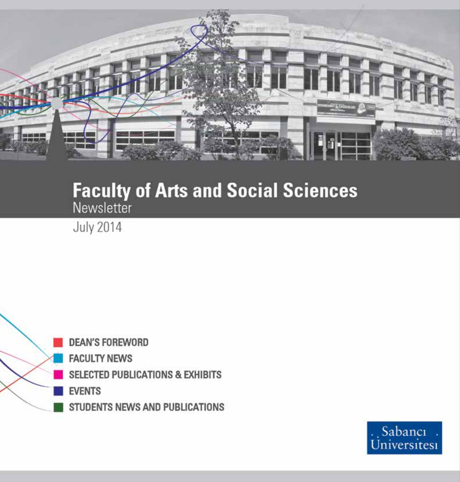

# **Faculty of Arts and Social Sciences**<br>Newsletter

**July 2014** 



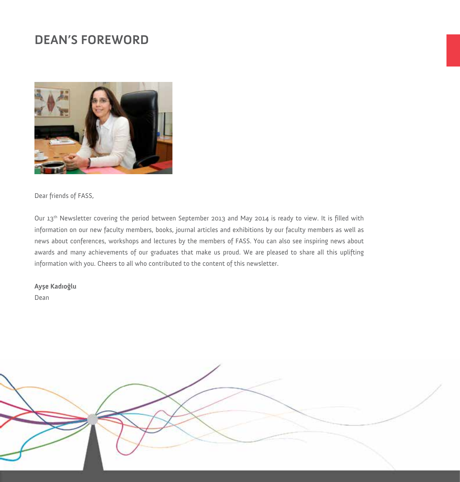## **DEAN'S FOREWORD**



Dear friends of FASS,

Our 13<sup>th</sup> Newsletter covering the period between September 2013 and May 2014 is ready to view. It is filled with information on our new faculty members, books, journal articles and exhibitions by our faculty members as well as news about conferences, workshops and lectures by the members of FASS. You can also see inspiring news about awards and many achievements of our graduates that make us proud. We are pleased to share all this uplifting information with you. Cheers to all who contributed to the content of this newsletter.

#### **Ayşe Kadıoğlu**

Dean

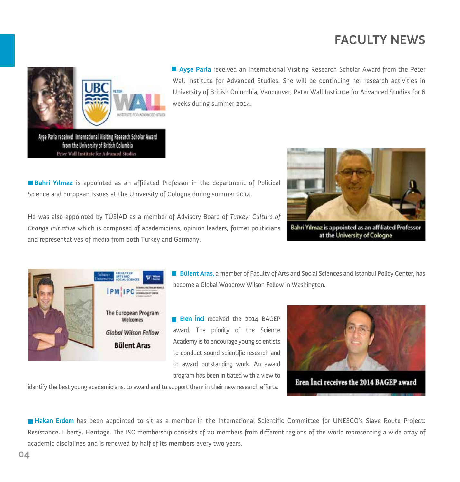# **FACULTY NEWS**



**Ayşe Parla** received an International Visiting Research Scholar Award from the Peter Wall Institute for Advanced Studies. She will be continuing her research activities in University of British Columbia, Vancouver, Peter Wall Institute for Advanced Studies for 6 weeks during summer 2014.

**Bahri Yılmaz** is appointed as an affiliated Professor in the department of Political Science and European Issues at the University of Cologne during summer 2014.

He was also appointed by TÜSİAD as a member of Advisory Board of *Turkey: Culture of Change Initiative* which is composed of academicians, opinion leaders, former politicians and representatives of media from both Turkey and Germany.



Bahri Yılmaz is appointed as an affiliated Professor at the University of Cologne



**Bülent Aras**, a member of Faculty of Arts and Social Sciences and Istanbul Policy Center, has become a Global Woodrow Wilson Fellow in Washington.

**Eren Inci** received the 2014 BAGEP award. The priority of the Science Academy is to encourage young scientists to conduct sound scientific research and to award outstanding work. An award program has been initiated with a view to





Eren Inci receives the 2014 BAGEP award

**Hakan Erdem** has been appointed to sit as a member in the International Scientific Committee for UNESCO's Slave Route Project: Resistance, Liberty, Heritage. The ISC membership consists of 20 members from different regions of the world representing a wide array of academic disciplines and is renewed by half of its members every two years.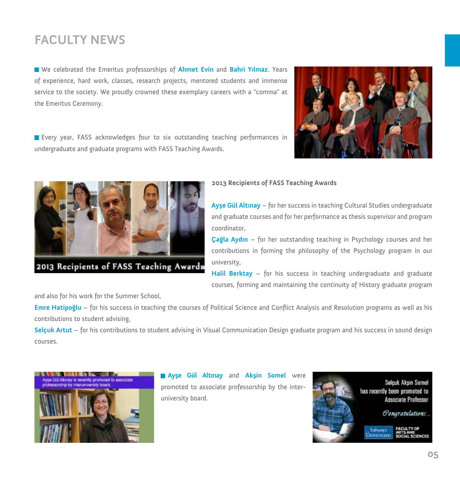# **FACULTY NEWS**

We celebrated the Emeritus professorships of **Ahmet Evin** and **Bahri Yılmaz**. Years of experience, hard work, classes, research projects, mentored students and immense service to the society. We proudly crowned these exemplary careers with a "comma" at the Emeritus Ceremony.

Every year, FASS acknowledges four to six outstanding teaching performances in undergraduate and graduate programs with FASS Teaching Awards.





2013 Recipients of FASS Teaching Awards

#### **2013 Recipients of FASS Teaching Awards**

**Ayşe Gül Altınay** – for her success in teaching Cultural Studies undergraduate and graduate courses and for her performance as thesis supervisor and program coordinator,

**Çağla Aydın** – for her outstanding teaching in Psychology courses and her contributions in forming the philosophy of the Psychology program in our university,

**Halil Berktay** – for his success in teaching undergraduate and graduate courses, forming and maintaining the continuity of History graduate program

and also for his work for the Summer School,

**Emre Hatipoğlu** – for his success in teaching the courses of Political Science and Conflict Analysis and Resolution programs as well as his contributions to student advising,

**Selçuk Artut** – for his contributions to student advising in Visual Communication Design graduate program and his success in sound design courses.

an Barba Altınay is recently pron **VAH 15 SECONDAR** meretan ing **Interviewsmenter histori** 



**Ayşe Gül Altınay** and **Akşin Somel** were promoted to associate professorship by the interuniversity board.

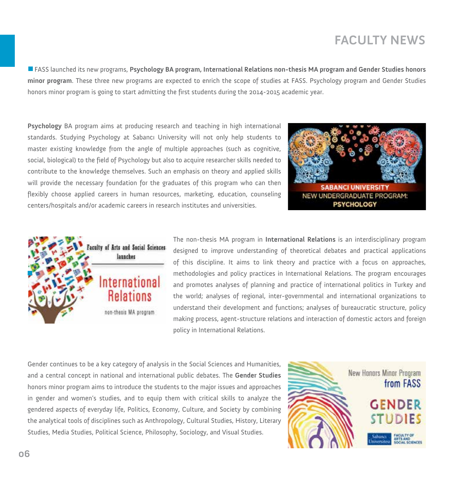## **FACULTY NEWS**

FASS launched its new programs, **Psychology BA program, International Relations non-thesis MA program and Gender Studies honors minor program**. These three new programs are expected to enrich the scope of studies at FASS. Psychology program and Gender Studies honors minor program is going to start admitting the first students during the 2014-2015 academic year.

**Psychology** BA program aims at producing research and teaching in high international standards. Studying Psychology at Sabancı University will not only help students to master existing knowledge from the angle of multiple approaches (such as cognitive, social, biological) to the field of Psychology but also to acquire researcher skills needed to contribute to the knowledge themselves. Such an emphasis on theory and applied skills will provide the necessary foundation for the graduates of this program who can then flexibly choose applied careers in human resources, marketing, education, counseling centers/hospitals and/or academic careers in research institutes and universities.





The non-thesis MA program in **International Relations** is an interdisciplinary program designed to improve understanding of theoretical debates and practical applications of this discipline. It aims to link theory and practice with a focus on approaches, methodologies and policy practices in International Relations. The program encourages and promotes analyses of planning and practice of international politics in Turkey and the world; analyses of regional, inter-governmental and international organizations to understand their development and functions; analyses of bureaucratic structure, policy making process, agent-structure relations and interaction of domestic actors and foreign policy in International Relations.

Gender continues to be a key category of analysis in the Social Sciences and Humanities, and a central concept in national and international public debates. The **Gender Studies**  honors minor program aims to introduce the students to the major issues and approaches in gender and women's studies, and to equip them with critical skills to analyze the gendered aspects of everyday life, Politics, Economy, Culture, and Society by combining the analytical tools of disciplines such as Anthropology, Cultural Studies, History, Literary Studies, Media Studies, Political Science, Philosophy, Sociology, and Visual Studies.

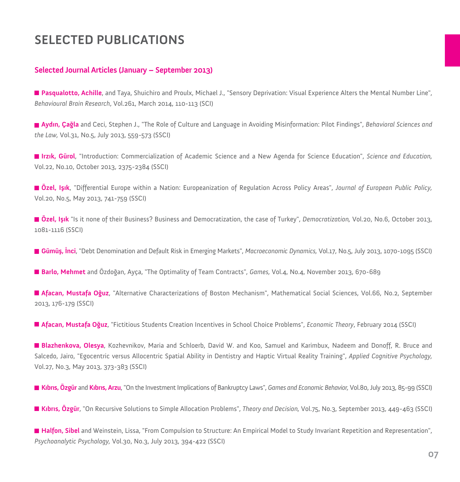#### **Selected Journal Articles (January – September 2013)**

**Pasqualotto, Achille**, and Taya, Shuichiro and Proulx, Michael J., "Sensory Deprivation: Visual Experience Alters the Mental Number Line", *Behavioural Brain Research*, Vol.261, March 2014, 110-113 (SCI)

**Aydın, Çağla** and Ceci, Stephen J., "The Role of Culture and Language in Avoiding Misinformation: Pilot Findings", *Behavioral Sciences and the Law,* Vol.31, No.5, July 2013, 559-573 (SSCI)

**Irzık, Gürol**, "Introduction: Commercialization of Academic Science and a New Agenda for Science Education", *Science and Education,*  Vol.22, No.10, October 2013, 2375-2384 (SSCI)

**Özel, Işık**, "Differential Europe within a Nation: Europeanization of Regulation Across Policy Areas", *Journal of European Public Policy,*  Vol.20, No.5, May 2013, 741-759 (SSCI)

**Özel, Işık** "Is it none of their Business? Business and Democratization, the case of Turkey", *Democratization,* Vol.20, No.6, October 2013, 1081-1116 (SSCI)

**Gümüş, İnci**, "Debt Denomination and Default Risk in Emerging Markets", *Macroeconomic Dynamics,* Vol.17, No.5, July 2013, 1070-1095 (SSCI)

**Barlo, Mehmet** and Özdoğan, Ayça, "The Optimality of Team Contracts", *Games,* Vol.4, No.4, November 2013, 670-689

**Afacan, Mustafa Oğuz**, "Alternative Characterizations of Boston Mechanism", Mathematical Social Sciences, Vol.66, No.2, September 2013, 176-179 (SSCI)

**Afacan, Mustafa Oğuz**, "Fictitious Students Creation Incentives in School Choice Problems", *Economic Theory*, February 2014 (SSCI)

**Blazhenkova, Olesya**, Kozhevnikov, Maria and Schloerb, David W. and Koo, Samuel and Karimbux, Nadeem and Donoff, R. Bruce and Salcedo, Jairo, "Egocentric versus Allocentric Spatial Ability in Dentistry and Haptic Virtual Reality Training", *Applied Cognitive Psychology,*  Vol.27, No.3, May 2013, 373-383 (SSCI)

**Kıbrıs, Özgür** and **Kıbrıs, Arzu**, "On the Investment Implications of Bankruptcy Laws", *Games and Economic Behavior,* Vol.80, July 2013, 85-99 (SSCI)

**Kıbrıs, Özgür**, "On Recursive Solutions to Simple Allocation Problems", *Theory and Decision,* Vol.75, No.3, September 2013, 449-463 (SSCI)

**Halfon, Sibel** and Weinstein, Lissa, "From Compulsion to Structure: An Empirical Model to Study Invariant Repetition and Representation", *Psychoanalytic Psychology,* Vol.30, No.3, July 2013, 394-422 (SSCI)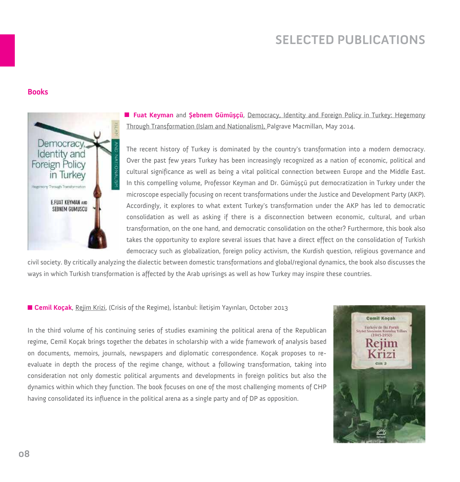#### **Books**



**Fuat Keyman** and **Şebnem Gümüşçü**, Democracy, Identity and Foreign Policy in Turkey: Hegemony Through Transformation (Islam and Nationalism), Palgrave Macmillan, May 2014.

The recent history of Turkey is dominated by the country's transformation into a modern democracy. Over the past few years Turkey has been increasingly recognized as a nation of economic, political and cultural significance as well as being a vital political connection between Europe and the Middle East. In this compelling volume, Professor Keyman and Dr. Gümüşçü put democratization in Turkey under the microscope especially focusing on recent transformations under the Justice and Development Party (AKP). Accordingly, it explores to what extent Turkey's transformation under the AKP has led to democratic consolidation as well as asking if there is a disconnection between economic, cultural, and urban transformation, on the one hand, and democratic consolidation on the other? Furthermore, this book also takes the opportunity to explore several issues that have a direct effect on the consolidation of Turkish democracy such as globalization, foreign policy activism, the Kurdish question, religious governance and

civil society. By critically analyzing the dialectic between domestic transformations and global/regional dynamics, the book also discusses the ways in which Turkish transformation is affected by the Arab uprisings as well as how Turkey may inspire these countries.

**Cemil Koçak**, Rejim Krizi, (Crisis of the Regime), İstanbul: İletişim Yayınları, October 2013

In the third volume of his continuing series of studies examining the political arena of the Republican regime, Cemil Koçak brings together the debates in scholarship with a wide framework of analysis based on documents, memoirs, journals, newspapers and diplomatic correspondence. Koçak proposes to reevaluate in depth the process of the regime change, without a following transformation, taking into consideration not only domestic political arguments and developments in foreign politics but also the dynamics within which they function. The book focuses on one of the most challenging moments of CHP having consolidated its influence in the political arena as a single party and of DP as opposition.

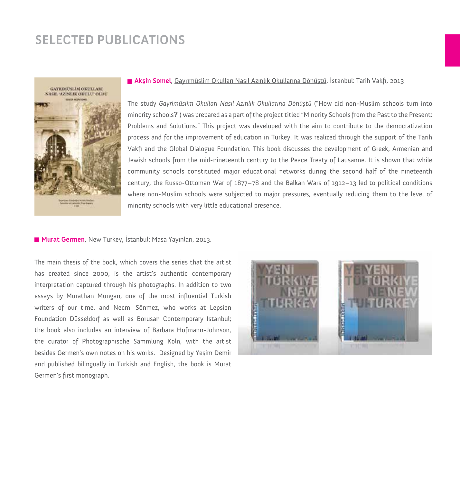

**Akşin Somel**, Gayrımüslim Okulları Nasıl Azınlık Okullarına Dönüştü, İstanbul: Tarih Vakfı, 2013

The study *Gayrimüslim Okulları Nasıl Azınlık Okullarına Dönüştü* ("How did non-Muslim schools turn into minority schools?") was prepared as a part of the project titled "Minority Schools from the Past to the Present: Problems and Solutions." This project was developed with the aim to contribute to the democratization process and for the improvement of education in Turkey. It was realized through the support of the Tarih Vakfı and the Global Dialogue Foundation. This book discusses the development of Greek, Armenian and Jewish schools from the mid-nineteenth century to the Peace Treaty of Lausanne. It is shown that while community schools constituted major educational networks during the second half of the nineteenth century, the Russo-Ottoman War of 1877–78 and the Balkan Wars of 1912–13 led to political conditions where non-Muslim schools were subjected to major pressures, eventually reducing them to the level of minority schools with very little educational presence.

#### **Murat Germen**, New Turkey, İstanbul: Masa Yayınları, 2013.

The main thesis of the book, which covers the series that the artist has created since 2000, is the artist's authentic contemporary interpretation captured through his photographs. In addition to two essays by Murathan Mungan, one of the most influential Turkish writers of our time, and Necmi Sönmez, who works at Lepsien Foundation Düsseldorf as well as Borusan Contemporary Istanbul; the book also includes an interview of Barbara Hofmann-Johnson, the curator of Photographische Sammlung Köln, with the artist besides Germen's own notes on his works. Designed by Yeşim Demir and published bilingually in Turkish and English, the book is Murat Germen's first monograph.

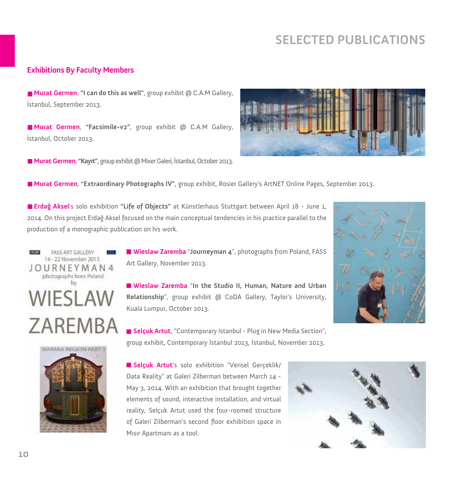#### **Exhibitions By Faculty Members**

**Murat Germen**, **"I can do this as well"**, group exhibit @ C.A.M Gallery, İstanbul, September 2013.

**Murat Germen**, **"Facsimile-v2"**, group exhibit @ C.A.M Gallery, İstanbul, October 2013.

**Murat Germen**, **"Kayıt"**, group exhibit @ Mixer Galeri, İstanbul, October 2013.



**Murat Germen**, **"Extraordinary Photographs IV"**, group exhibit, Rosier Gallery's ArtNET Online Pages, September 2013.

**Erdağ Aksel**'s solo exhibition **"Life of Objects"** at Künstlerhaus Stuttgart between April 18 - June 1, 2014. On this project Erdağ Aksel focused on the main conceptual tendencies in his practice parallel to the production of a monographic publication on his work.



**Wieslaw Zaremba** "**Journeyman 4**", photographs from Poland, FASS Art Gallery, November 2013.

**Wieslaw Zaremba** "**In the Studio II, Human, Nature and Urban Relationship**", group exhibit @ CoDA Gallery, Taylor's University, Kuala Lumpur, October 2013.

**Selçuk Artut**, "Contemporary Istanbul - Plug in New Media Section", group exhibit, Contemporary İstanbul 2013, İstanbul, November 2013.

**Selçuk Artut**'s solo exhibition "Verisel Gerçeklik/ Data Reality" at Galeri Zilberman between March 14 - May 3, 2014. With an exhibition that brought together elements of sound, interactive installation, and virtual reality, Selçuk Artut used the four-roomed structure of Galeri Zilberman's second floor exhibition space in Mısır Apartmanı as a tool.



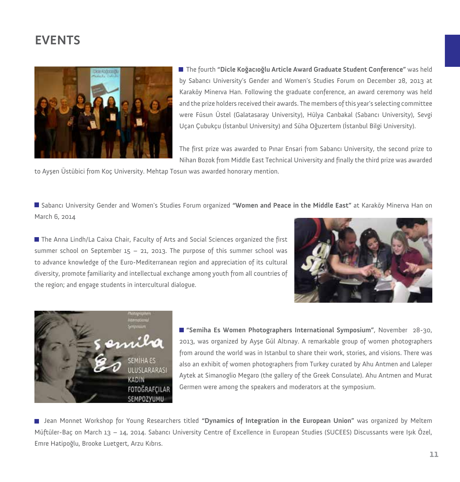

The fourth **"Dicle Koğacıoğlu Article Award Graduate Student Conference"** was held by Sabancı University's Gender and Women's Studies Forum on December 28, 2013 at Karaköy Minerva Han. Following the graduate conference, an award ceremony was held and the prize holders received their awards. The members of this year's selecting committee were Füsun Üstel (Galatasaray University), Hülya Canbakal (Sabancı University), Sevgi Uçan Çubukçu (İstanbul University) and Süha Oğuzertem (İstanbul Bilgi University).

The first prize was awarded to Pınar Ensari from Sabancı University, the second prize to Nihan Bozok from Middle East Technical University and finally the third prize was awarded

to Ayşen Üstübici from Koç University. Mehtap Tosun was awarded honorary mention.

Sabancı University Gender and Women's Studies Forum organized **"Women and Peace in the Middle East"** at Karaköy Minerva Han on March 6, 2014

■ The Anna Lindh/La Caixa Chair, Faculty of Arts and Social Sciences organized the first summer school on September  $15 - 21$ , 2013. The purpose of this summer school was to advance knowledge of the Euro-Mediterranean region and appreciation of its cultural diversity, promote familiarity and intellectual exchange among youth from all countries of the region; and engage students in intercultural dialogue.





**"Semiha Es Women Photographers International Symposium"**, November 28-30, 2013, was organized by Ayşe Gül Altınay. A remarkable group of women photographers from around the world was in Istanbul to share their work, stories, and visions. There was also an exhibit of women photographers from Turkey curated by Ahu Antmen and Laleper Aytek at Simanoglio Megaro (the gallery of the Greek Consulate). Ahu Antmen and Murat Germen were among the speakers and moderators at the symposium.

 Jean Monnet Workshop for Young Researchers titled **"Dynamics of Integration in the European Union"** was organized by Meltem Müftüler-Baç on March 13 – 14, 2014. Sabancı University Centre of Excellence in European Studies (SUCEES) Discussants were Işık Özel, Emre Hatipoğlu, Brooke Luetgert, Arzu Kıbrıs.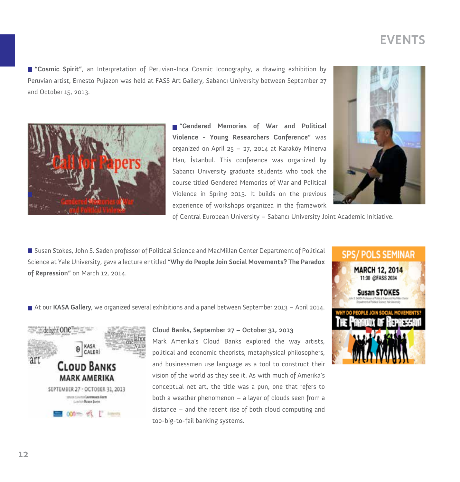**"Cosmic Spirit"**, an Interpretation of Peruvian-Inca Cosmic Iconography, a drawing exhibition by Peruvian artist, Ernesto Pujazon was held at FASS Art Gallery, Sabancı University between September 27 and October 15, 2013.



**"Gendered Memories of War and Political Violence - Young Researchers Conference"** was organized on April 25 – 27, 2014 at Karaköy Minerva Han, İstanbul. This conference was organized by Sabancı University graduate students who took the course titled Gendered Memories of War and Political Violence in Spring 2013. It builds on the previous experience of workshops organized in the framework



of Central European University – Sabancı University Joint Academic Initiative.

Susan Stokes, John S. Saden professor of Political Science and MacMillan Center Department of Political Science at Yale University, gave a lecture entitled **"Why do People Join Social Movements? The Paradox of Repression"** on March 12, 2014.



At our **KASA Gallery**, we organized several exhibitions and a panel between September 2013 – April 2014.



#### **Cloud Banks, September 27 – October 31, 2013**

Mark Amerika's Cloud Banks explored the way artists, political and economic theorists, metaphysical philosophers, and businessmen use language as a tool to construct their vision of the world as they see it. As with much of Amerika's conceptual net art, the title was a pun, one that refers to both a weather phenomenon – a layer of clouds seen from a distance – and the recent rise of both cloud computing and too-big-to-fail banking systems.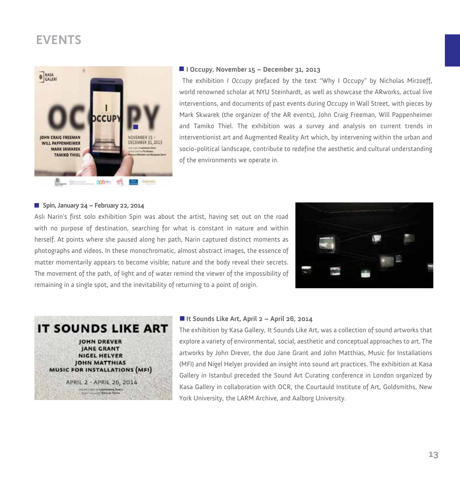

#### **I Occupy, November 15 – December 31, 2013**

 The exhibition *I Occupy* prefaced by the text "Why I Occupy" by Nicholas Mirzoeff, world renowned scholar at NYU Steinhardt, as well as showcase the ARworks, actual live interventions, and documents of past events during Occupy in Wall Street, with pieces by Mark Skwarek (the organizer of the AR events), John Craig Freeman, Will Pappenheimer and Tamiko Thiel. The exhibition was a survey and analysis on current trends in interventionist art and Augmented Reality Art which, by intervening within the urban and socio-political landscape, contribute to redefine the aesthetic and cultural understanding of the environments we operate in.

#### **Spin, January 24 – February 22, 2014**

Aslı Narin's first solo exhibition Spin was about the artist, having set out on the road with no purpose of destination, searching for what is constant in nature and within herself. At points where she paused along her path, Narin captured distinct moments as photographs and videos. In these monochromatic, almost abstract images, the essence of matter momentarily appears to become visible; nature and the body reveal their secrets. The movement of the path, of light and of water remind the viewer of the impossibility of remaining in a single spot, and the inevitability of returning to a point of origin.





#### **It Sounds Like Art, April 2 – April 26, 2014**

The exhibition by Kasa Gallery, It Sounds Like Art, was a collection of sound artworks that explore a variety of environmental, social, aesthetic and conceptual approaches to art. The artworks by John Drever, the duo Jane Grant and John Matthias, Music for Installations (MFI) and Nigel Helyer provided an insight into sound art practices. The exhibition at Kasa Gallery in Istanbul preceded the Sound Art Curating conference in London organized by Kasa Gallery in collaboration with OCR, the Courtauld Institute of Art, Goldsmiths, New York University, the LARM Archive, and Aalborg University.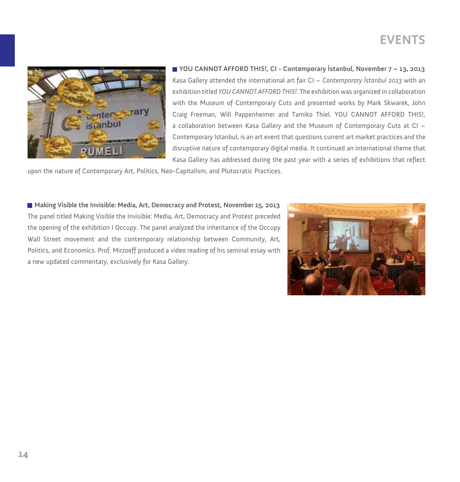

**YOU CANNOT AFFORD THIS!, CI - Contemporary İstanbul, November 7 – 13, 2013** Kasa Gallery attended the international art fair CI – *Contemporary İstanbul 2013* with an exhibition titled *YOU CANNOT AFFORD THIS!.* The exhibition was organized in collaboration with the Museum of Contemporary Cuts and presented works by Mark Skwarek, John Craig Freeman, Will Pappenheimer and Tamiko Thiel. YOU CANNOT AFFORD THIS!, a collaboration between Kasa Gallery and the Museum of Contemporary Cuts at CI – Contemporary Istanbul, is an art event that questions current art market practices and the disruptive nature of contemporary digital media. It continued an international theme that Kasa Gallery has addressed during the past year with a series of exhibitions that reflect

upon the nature of Contemporary Art, Politics, Neo-Capitalism, and Plutocratic Practices.

**Making Visible the Invisible: Media, Art, Democracy and Protest, November 15, 2013** The panel titled Making Visible the Invisible: Media, Art, Democracy and Protest preceded the opening of the exhibition I Occupy. The panel analyzed the inheritance of the Occupy Wall Street movement and the contemporary relationship between Community, Art, Politics, and Economics. Prof. Mirzoeff produced a video reading of his seminal essay with a new updated commentary, exclusively for Kasa Gallery.

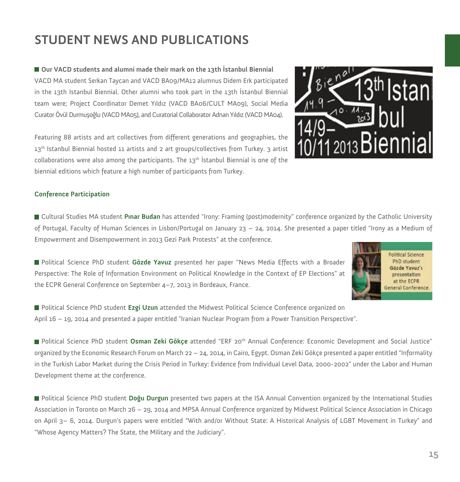# **STUDENT NEWS AND PUBLICATIONS**

**Our VACD students and alumni made their mark on the 13th İstanbul Biennial** VACD MA student Serkan Taycan and VACD BA09/MA12 alumnus Didem Erk participated in the 13th Istanbul Biennial. Other alumni who took part in the 13th İstanbul Biennial team were; Project Coordinator Demet Yıldız (VACD BA06/CULT MA09), Social Media Curator Övül Durmuşoğlu (VACD MA05), and Curatorial Collaborator Adnan Yıldız (VACD MA04).

Featuring 88 artists and art collectives from different generations and geographies, the 13<sup>th</sup> Istanbul Biennial hosted 11 artists and 2 art groups/collectives from Turkey. 3 artist collaborations were also among the participants. The  $13<sup>th</sup>$  Istanbul Biennial is one of the biennial editions which feature a high number of participants from Turkey.



#### **Conference Participation**

Cultural Studies MA student **Pınar Budan** has attended "Irony: Framing (post)modernity" conference organized by the Catholic University of Portugal, Faculty of Human Sciences in Lisbon/Portugal on January 23 – 24, 2014. She presented a paper titled "Irony as a Medium of Empowerment and Disempowerment in 2013 Gezi Park Protests" at the conference.

Political Science PhD student **Gözde Yavuz** presented her paper "News Media Effects with a Broader Perspective: The Role of Information Environment on Political Knowledge in the Context of EP Elections" at the ECPR General Conference on September 4–7, 2013 in Bordeaux, France.



Political Science PhD student **Ezgi Uzun** attended the Midwest Political Science Conference organized on April 16 – 19, 2014 and presented a paper entitled "Iranian Nuclear Program from a Power Transition Perspective".

Political Science PhD student **Osman Zeki Gökçe** attended "ERF 20th Annual Conference: Economic Development and Social Justice" organized by the Economic Research Forum on March 22 – 24, 2014, in Cairo, Egypt. Osman Zeki Gökçe presented a paper entitled "Informality in the Turkish Labor Market during the Crisis Period in Turkey: Evidence from Individual Level Data, 2000-2002" under the Labor and Human Development theme at the conference.

Political Science PhD student **Doğu Durgun** presented two papers at the ISA Annual Convention organized by the International Studies Association in Toronto on March 26 – 29, 2014 and MPSA Annual Conference organized by Midwest Political Science Association in Chicago on April 3– 6, 2014. Durgun's papers were entitled "With and/or Without State: A Historical Analysis of LGBT Movement in Turkey" and "Whose Agency Matters? The State, the Military and the Judiciary".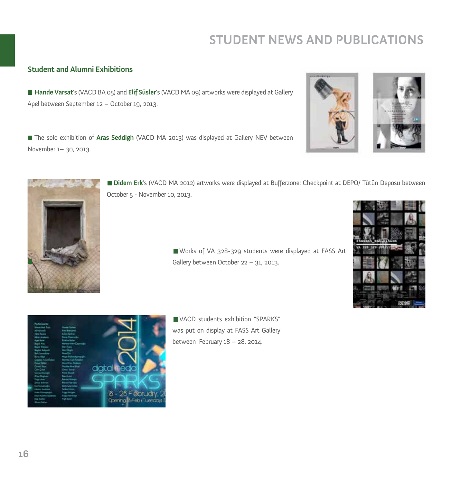# **STUDENT NEWS AND PUBLICATIONS**

#### **Student and Alumni Exhibitions**

**Hande Varsat**'s (VACD BA 05) and **Elif Süsler**'s (VACD MA 09) artworks were displayed at Gallery Apel between September 12 – October 19, 2013.

The solo exhibition of **Aras Seddigh** (VACD MA 2013) was displayed at Gallery NEV between November 1– 30, 2013.







**Didem Erk**'s (VACD MA 2012) artworks were displayed at Bufferzone: Checkpoint at DEPO/ Tütün Deposu between October 5 - November 10, 2013.

> Works of VA 328-329 students were displayed at FASS Art Gallery between October 22 – 31, 2013.





VACD students exhibition "SPARKS" was put on display at FASS Art Gallery between February 18 – 28, 2014.